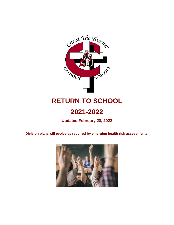

# **RETURN TO SCHOOL**

# **2021-2022**

**Updated February 28, 2022**

**Division plans will evolve as required by emerging health risk assessments.**

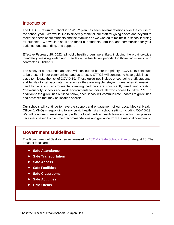### Introduction:

The CTTCS Return to School 2021-2022 plan has seen several revisions over the course of the school year. We would like to sincerely thank all our staff for going above and beyond to meet the needs of our students and their families as we worked to maintain in-school learning for students. We would also like to thank our students, families, and communities for your patience, understanding, and support.

Effective February 28, 2022, all public health orders were lifted, including the province-wide mandatory masking order and mandatory self-isolation periods for those individuals who contracted COVID-19.

The safety of our students and staff will continue to be our top priority. COVID-19 continues to be present in our communities, and as a result, CTTCS will continue to have guidelines in place to mitigate the risk of COVID-19. These guidelines include encouraging staff, students, and familes to get vaccinated as soon as they are eligible, staying home when ill, ensuring hand hygiene and environmental cleaning protocols are consistently used, and creating "mask-friendly" schools and work environments for individuals who choose to utilize PPE. In addition to the guidelines outlined below, each school will communicate updates to guidelines and practices that may be location specific.

Our schools will continue to have the support and engagement of our Local Medical Health Officer (LMHO) in responding to any public health risks in school setting, including COVID-19. We will continue to meet regularly with our local medical health team and adjust our plan as necessary based both on their recommendations and guidance from the medical community.

### **Government Guidelines:**

The Government of Saskatchewan released its [2021-22 Safe Schools Plan](https://www.rcsd.ca/Documents/SK%20Safe%20Schools%20Plan%202021-2022.pdf) on August 20. The areas of focus are:

- **Safe Attendance**
- **Safe Transportation**
- **Safe Access**
- **Safe Facilities**
- **Safe Classrooms**
- **Safe Activities**
- **Other Items**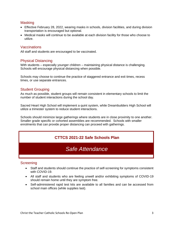### **Masking**

- Effective February 28, 2022, wearing masks in schools, division facilities, and during division transportation is encouraged but optional.
- Medical masks will continue to be available at each division facility for those who choose to utilize.

### Vaccinations

All staff and students are encouraged to be vaccinated.

### Physical Distancing

With students – especially younger children – maintaining physical distance is challenging. Schools will encourage physical distancing when possible.

Schools may choose to continue the practice of staggered entrance and exit times, recess times, or use separate entrances.

### Student Grouping

As much as possible, student groups will remain consistent in elementary schools to limit the number of student interactions during the school day.

Sacred Heart High School will implement a quint system, while Dreambuilders High School will utilize a trimester system to reduce student interactions.

Schools should minimize large gatherings where students are in close proximity to one another. Smaller grade specific or cohorted assemblies are recommended. Schools with smaller enrolments that can provide proper distancing can proceed with gatherings.

### **CTTCS 2021-22 Safe Schools Plan**

## *Safe Attendance*

### **Screening**

- Staff and students should continue the practice of self-screening for symptoms consistent with COVID-19.
- All staff and students who are feeling unwell and/or exhibiting symptoms of COVID-19 should remain home until they are symptom free.
- Self-administered rapid test kits are available to all families and can be accessed from school main offices (while supplies last).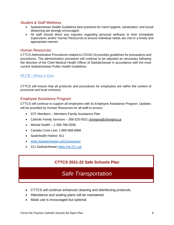### Student & Staff Wellness

- Saskatchewan Health Guidelines best practices for hand hygiene, sanitization, and social distancing are strongly encouraged.
- All staff should direct any inquiries regarding personal wellness to their immediate supervisors and/or Human Resources to ensure individual needs are met in a timely and appropriate manner.

### Human Resources

CTTCS Administrative Procedures related to COVID-19 provides guidelines for precautions and procedures. The administrative procedure will continue to be adjusted as necessary following the direction of the Chief Medical Health Officer of Saskatchewan in accordance with the most current Saskatchewan Public Health Guidelines.

### AP178 – [Illness in Care](https://christtheteacher.ca/ctt/download/178-illness-in-care-2020/)

CTTCS will ensure that all protocols and procedures for employees are within the context of provincial and local contracts.

### Employee Assistance Program

CTTCS will continue to support all employees with its Employee Assistance Program. Updates will be provided by Human Resources for all staff to access:

- STF Members Members Family Assistance Plan
- Catholic Family Services 306-525-0521 [cfsregina@cfsregina.ca](mailto:cfsregina@cfsregina.ca)
- Mental Health 1-306-786-0558
- Canada Crisis Line: 1-800-668-6868
- SaskHealth Hotline: 811
- [www.Saskatchewan.ca/Coronavirus](http://www.saskatchewan.ca/Coronavirus)
- 211 Saskatchewan<https://sk.211.ca/>

### **CTTCS 2021-22 Safe Schools Plan**

## *Safe Transportation*

- CTTCS will continue enhanced cleaning and disinfecting protocols.
- Attendance and seating plans will be maintained.
- Mask use is encouraged but optional.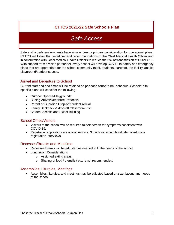## **CTTCS 2021-22 Safe Schools Plan**

## *Safe Access*

Safe and orderly environments have always been a primary consideration for operational plans. CTTCS will follow the guidelines and recommendations of the Chief Medical Health Officer and in consultation with Local Medical Health Officers to reduce the risk of transmission of COVID-19. With support from division personnel, every school will develop COVID-19 safety and emergency plans that are appropriate for the school community (staff, students, parents), the facility, and its playground/outdoor spaces.

### Arrival and Departure to School

Current start and end times will be retained as per each school's bell schedule. Schools' sitespecific plans will consider the following:

- Outdoor Spaces/Playgrounds
- Busing Arrival/Departure Protocols
- Parent or Guardian Drop-off/Student Arrival
- Family Backpack & drop-off Classroom Visit
- Student Access and Exit of Building

### School Office/Visitors

- Visitors to the school will be required to self-screen for symptoms consistent with COVID-19.
- Registration applications are available online. Schools will schedule virtual or face-to-face registration interviews.

### Recesses/Breaks and Mealtime

- Recesses/Breaks will be adjusted as needed to fit the needs of the school.
- Lunchroom Considerations
	- o Assigned eating areas.
		- o Sharing of food / utensils / etc. is not recommended.

### Assemblies, Liturgies, Meetings

• Assemblies, liturgies, and meetings may be adjusted based on size, layout, and needs of the school.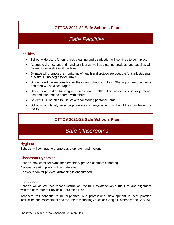## **CTTCS 2021-22 Safe Schools Plan**

## *Safe Facilities*

### **Facilities**

- School-wide plans for enhanced cleaning and disinfection will continue to be in place.
- Adequate disinfectant and hand sanitizer as well as cleaning products and supplies will be readily available in all facilities.
- Signage will promote the monitoring of health and protocols/procedure for staff, students, or visitors who begin to feel unwell.
- Students will be responsible for their own school supplies. Sharing of personal items and food will be discouraged.
- Students are asked to bring a reusable water bottle. This water bottle is for personal use and must not be shared with others.
- Students will be able to use lockers for storing personal items.
- Schools will identify an appropriate area for anyone who is ill until they can leave the facility.

### **CTTCS 2021-22 Safe Schools Plan**

## *Safe Classrooms*

### **Hygiene**

Schools will continue to promote appropriate hand hygiene.

### Classroom Dynamics

Schools may consider plans for elementary grade classroom cohorting.

Assigned seating plans will be maintained.

Consideration for physical distancing is encouraged.

### **Instruction**

Schools will deliver face-to-face instruction, the full Saskatchewan curriculum, and alignment with the new Interim Provincial Education Plan.

Teachers will continue to be supported with professional development in best practice instruction and assessment and the use of technology such as Google Classroom and SeeSaw.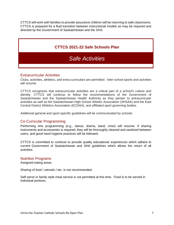CTTCS will work with families to provide assurance children will be returning to safe classrooms. CTTCS is prepared for a fluid transition between instructional models as may be required and directed by the Government of Saskatchewan and the SHA.

### **CTTCS 2021-22 Safe Schools Plan**

## *Safe Activities*

### Extracurricular Activities

Clubs, activities, athletics, and extra-curriculars are permitted. Inter-school sports and activities will resume.

CTTCS recognizes that extracurricular activities are a critical part of a school's culture and identity. CTTCS will continue to follow the recommendations of the Government of Saskatchewan and the Saskatchewan Health Authority as they pertain to extracurricular activities as well as the Saskatchewan High School Athletic Association (SHSAA) and the East Central District Athletics Association (ECDAA), and affiliated sport governing bodies.

Additional general and sport-specific guidelines will be communicated by schools.

### Co-Curricular Programming

Performing Arts programming (e.g., dance, drama, band, choir) will resume. If sharing instruments and accessories is required, they will be thoroughly cleaned and sanitized between users, and good hand hygiene practices will be followed.

CTTCS is committed to continue to provide quality educational experiences which adhere to current Government of Saskatchewan and SHA guidelines which allows the return of all activities.

#### Nutrition Programs

Assigned eating areas.

Sharing of food / utensils / etc. is not recommended.

Self-serve or family style meal service is not permitted at this time. Food is to be served in individual portions.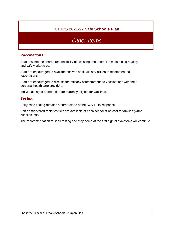### **CTTCS 2021-22 Safe Schools Plan**

## *Other Items*

### *Vaccinations*

Staff assume the shared responsibility of assisting one anotherin maintaining healthy and safe workplaces.

Staff are encouraged to avail themselves of all Ministry of Health recommended vaccinations.

Staff are encouraged to discuss the efficacy of recommended vaccinations with their personal health care providers.

Individuals aged 5 and older are currently eligible for vaccines.

### *Testing*

Early case finding remains a cornerstone of the COVID-19 response.

Self-administered rapid test kits are available at each school at no cost to families (while supplies last).

The recommendation to seek testing and stay home at the first sign of symptoms will continue.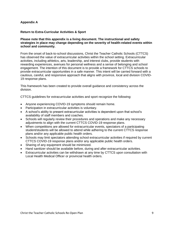#### **Appendix A**

#### **Return to Extra-Curricular Activities & Sport**

#### **Please note that this appendix is a living document. The instructional and safety strategies in place may change depending on the severity of health-related events within school and community.**

From the onset of back-to-school discussions, Christ the Teacher Catholic Schools (CTTCS) has observed the value of extracurricular activities within the school setting. Extracurricular activities, including athletics, arts, leadership, and interest clubs, provide students with rewarding experiences, avenues for personal wellness and a sense of belonging and school engagement. The intention of this document is to provide a framework for CTTCS schools to provide extracurricular opportunities in a safe manner. This intent will be carried forward with a cautious, careful, and responsive approach that aligns with province, local and division COVID-19 response plans.

This framework has been created to provide overall guidance and consistency across the division.

CTTCS guidelines for extracurricular activities and sport recognize the following:

- Anyone experiencing COVID-19 symptoms should remain home.
- Participation in extracurricular activities is voluntary.
- A school's ability to present extracurricular activities is dependent upon that school's availability of staff members and coaches.
- Schools will regularly review their procedures and operations and make any necessary adjustments to align with the current CTTCS COVID-19 response plans.
- When competitions are allowed for extracurricular events, spectators of a participating student/students will be allowed to attend while adhering to the current CTTCS response plans and/or any applicable public health orders.
- Schools may limit spectators attending school extracurricular activities if required by current CTTCS COVID-19 response plans and/or any applicable public health orders.
- Sharing of any equipment should be minimized.
- Hand sanitizer should be available before, during and after extracurricular activities.
- Extracurricular activities can be withdrawn at any time by CTTCS upon consultation with Local Health Medical Officer or provincial health orders.